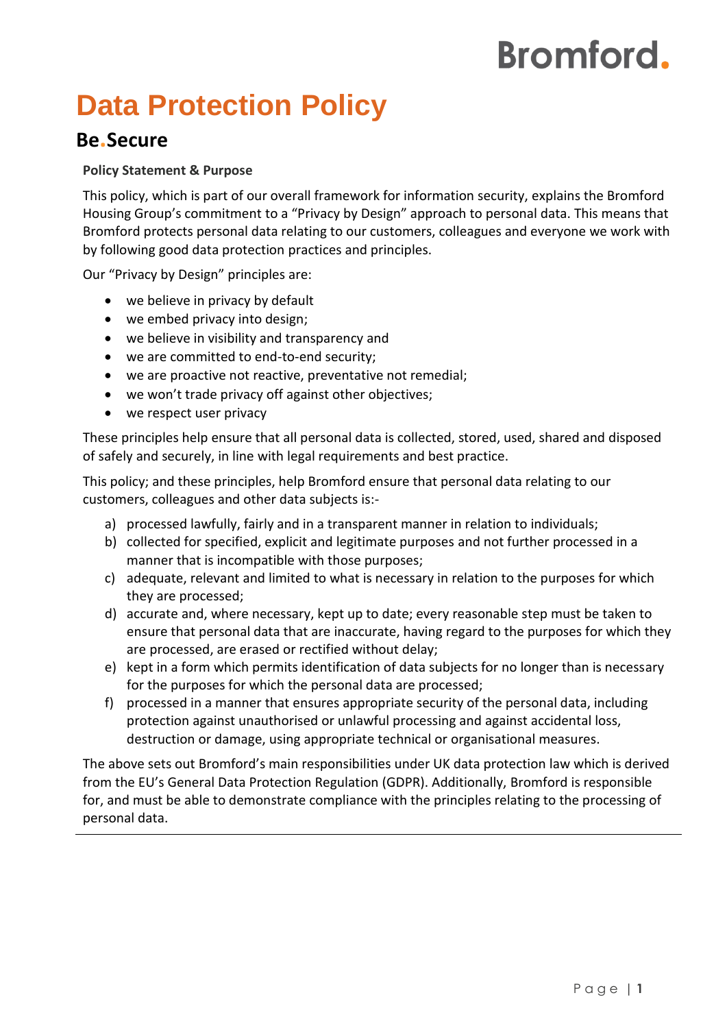# **Bromford.**

# **Data Protection Policy**

## **Be.Secure**

#### **Policy Statement & Purpose**

This policy, which is part of our overall framework for information security, explains the Bromford Housing Group's commitment to a "Privacy by Design" approach to personal data. This means that Bromford protects personal data relating to our customers, colleagues and everyone we work with by following good data protection practices and principles.

Our "Privacy by Design" principles are:

- we believe in privacy by default
- we embed privacy into design;
- we believe in visibility and transparency and
- we are committed to end-to-end security;
- we are proactive not reactive, preventative not remedial;
- we won't trade privacy off against other objectives;
- we respect user privacy

These principles help ensure that all personal data is collected, stored, used, shared and disposed of safely and securely, in line with legal requirements and best practice.

This policy; and these principles, help Bromford ensure that personal data relating to our customers, colleagues and other data subjects is:-

- a) processed lawfully, fairly and in a transparent manner in relation to individuals;
- b) collected for specified, explicit and legitimate purposes and not further processed in a manner that is incompatible with those purposes;
- c) adequate, relevant and limited to what is necessary in relation to the purposes for which they are processed;
- d) accurate and, where necessary, kept up to date; every reasonable step must be taken to ensure that personal data that are inaccurate, having regard to the purposes for which they are processed, are erased or rectified without delay;
- e) kept in a form which permits identification of data subjects for no longer than is necessary for the purposes for which the personal data are processed;
- f) processed in a manner that ensures appropriate security of the personal data, including protection against unauthorised or unlawful processing and against accidental loss, destruction or damage, using appropriate technical or organisational measures.

The above sets out Bromford's main responsibilities under UK data protection law which is derived from the EU's General Data Protection Regulation (GDPR). Additionally, Bromford is responsible for, and must be able to demonstrate compliance with the principles relating to the processing of personal data.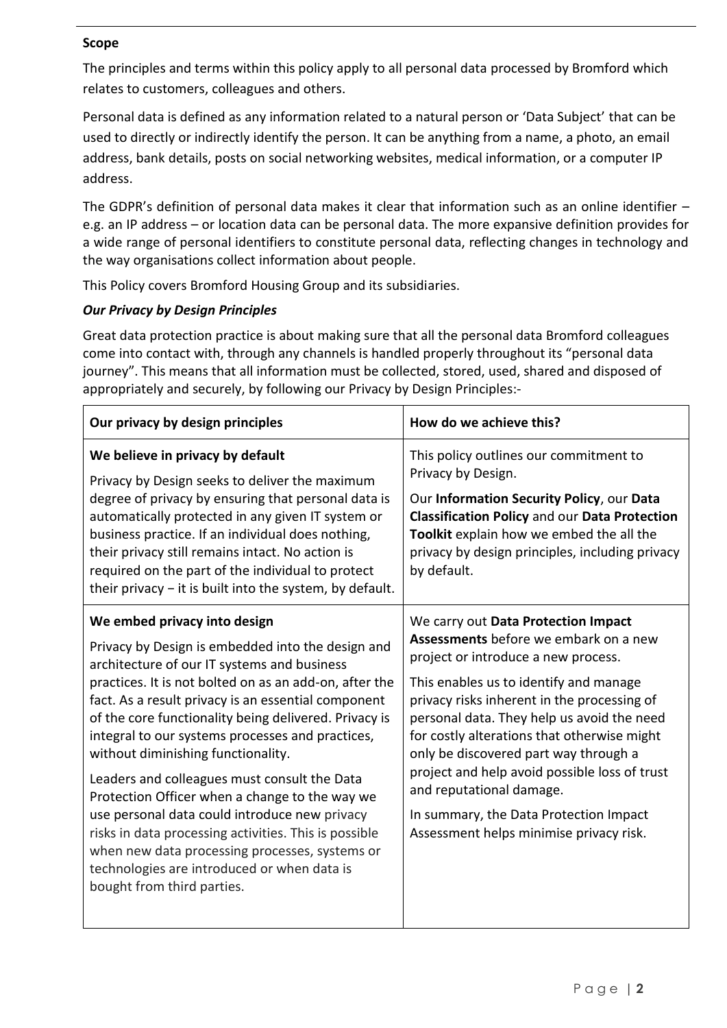#### **Scope**

The principles and terms within this policy apply to all personal data processed by Bromford which relates to customers, colleagues and others.

Personal data is defined as any information related to a natural person or 'Data Subject' that can be used to directly or indirectly identify the person. It can be anything from a name, a photo, an email address, bank details, posts on social networking websites, medical information, or a computer IP address.

The GDPR's definition of personal data makes it clear that information such as an online identifier – e.g. an IP address – or location data can be personal data. The more expansive definition provides for a wide range of personal identifiers to constitute personal data, reflecting changes in technology and the way organisations collect information about people.

This Policy covers Bromford Housing Group and its subsidiaries.

#### *Our Privacy by Design Principles*

Great data protection practice is about making sure that all the personal data Bromford colleagues come into contact with, through any channels is handled properly throughout its "personal data journey". This means that all information must be collected, stored, used, shared and disposed of appropriately and securely, by following our Privacy by Design Principles:-

| Our privacy by design principles                                                                                                                                                                                                                                                                                                                                                                                                                                                                                                                                                                                                                                                                                                                | How do we achieve this?                                                                                                                                                                                                                                                                                                                                                                                                                                                                                              |
|-------------------------------------------------------------------------------------------------------------------------------------------------------------------------------------------------------------------------------------------------------------------------------------------------------------------------------------------------------------------------------------------------------------------------------------------------------------------------------------------------------------------------------------------------------------------------------------------------------------------------------------------------------------------------------------------------------------------------------------------------|----------------------------------------------------------------------------------------------------------------------------------------------------------------------------------------------------------------------------------------------------------------------------------------------------------------------------------------------------------------------------------------------------------------------------------------------------------------------------------------------------------------------|
| We believe in privacy by default<br>Privacy by Design seeks to deliver the maximum<br>degree of privacy by ensuring that personal data is<br>automatically protected in any given IT system or<br>business practice. If an individual does nothing,<br>their privacy still remains intact. No action is<br>required on the part of the individual to protect<br>their privacy $-$ it is built into the system, by default.                                                                                                                                                                                                                                                                                                                      | This policy outlines our commitment to<br>Privacy by Design.<br>Our Information Security Policy, our Data<br><b>Classification Policy and our Data Protection</b><br>Toolkit explain how we embed the all the<br>privacy by design principles, including privacy<br>by default.                                                                                                                                                                                                                                      |
| We embed privacy into design<br>Privacy by Design is embedded into the design and<br>architecture of our IT systems and business<br>practices. It is not bolted on as an add-on, after the<br>fact. As a result privacy is an essential component<br>of the core functionality being delivered. Privacy is<br>integral to our systems processes and practices,<br>without diminishing functionality.<br>Leaders and colleagues must consult the Data<br>Protection Officer when a change to the way we<br>use personal data could introduce new privacy<br>risks in data processing activities. This is possible<br>when new data processing processes, systems or<br>technologies are introduced or when data is<br>bought from third parties. | We carry out Data Protection Impact<br>Assessments before we embark on a new<br>project or introduce a new process.<br>This enables us to identify and manage<br>privacy risks inherent in the processing of<br>personal data. They help us avoid the need<br>for costly alterations that otherwise might<br>only be discovered part way through a<br>project and help avoid possible loss of trust<br>and reputational damage.<br>In summary, the Data Protection Impact<br>Assessment helps minimise privacy risk. |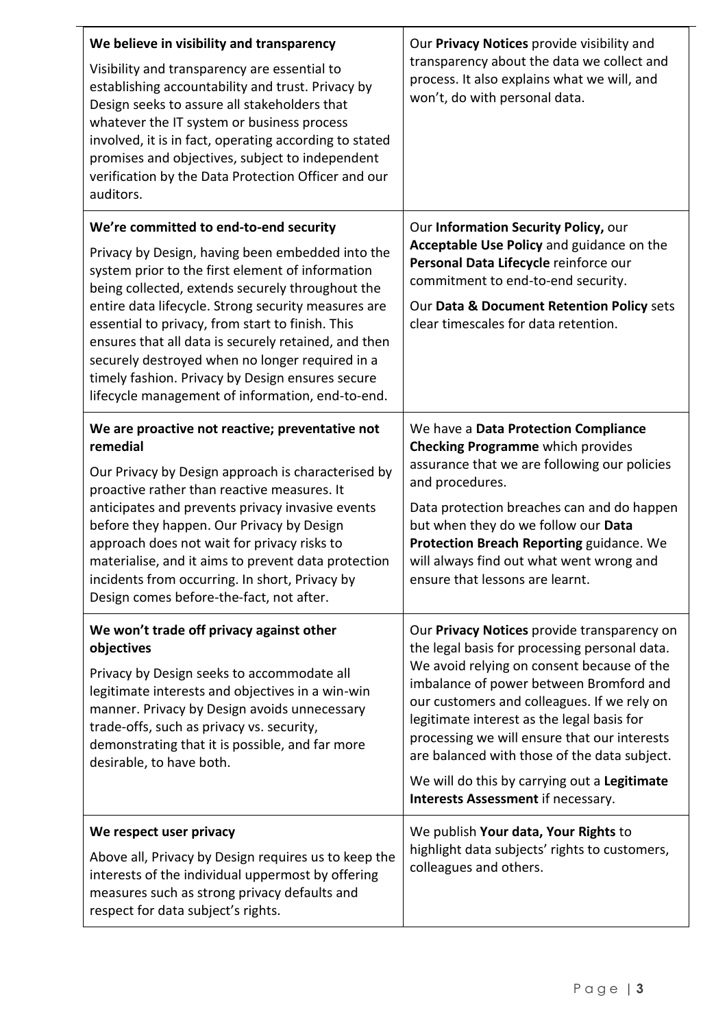| We believe in visibility and transparency<br>Visibility and transparency are essential to<br>establishing accountability and trust. Privacy by<br>Design seeks to assure all stakeholders that<br>whatever the IT system or business process<br>involved, it is in fact, operating according to stated<br>promises and objectives, subject to independent<br>verification by the Data Protection Officer and our<br>auditors.                                                          | Our Privacy Notices provide visibility and<br>transparency about the data we collect and<br>process. It also explains what we will, and<br>won't, do with personal data.                                                                                                                                                                                                                                                                                                 |
|----------------------------------------------------------------------------------------------------------------------------------------------------------------------------------------------------------------------------------------------------------------------------------------------------------------------------------------------------------------------------------------------------------------------------------------------------------------------------------------|--------------------------------------------------------------------------------------------------------------------------------------------------------------------------------------------------------------------------------------------------------------------------------------------------------------------------------------------------------------------------------------------------------------------------------------------------------------------------|
| We're committed to end-to-end security                                                                                                                                                                                                                                                                                                                                                                                                                                                 | Our Information Security Policy, our                                                                                                                                                                                                                                                                                                                                                                                                                                     |
| Privacy by Design, having been embedded into the<br>system prior to the first element of information<br>being collected, extends securely throughout the<br>entire data lifecycle. Strong security measures are<br>essential to privacy, from start to finish. This<br>ensures that all data is securely retained, and then<br>securely destroyed when no longer required in a<br>timely fashion. Privacy by Design ensures secure<br>lifecycle management of information, end-to-end. | Acceptable Use Policy and guidance on the<br>Personal Data Lifecycle reinforce our<br>commitment to end-to-end security.<br>Our Data & Document Retention Policy sets<br>clear timescales for data retention.                                                                                                                                                                                                                                                            |
| We are proactive not reactive; preventative not<br>remedial<br>Our Privacy by Design approach is characterised by<br>proactive rather than reactive measures. It<br>anticipates and prevents privacy invasive events<br>before they happen. Our Privacy by Design<br>approach does not wait for privacy risks to<br>materialise, and it aims to prevent data protection<br>incidents from occurring. In short, Privacy by<br>Design comes before-the-fact, not after.                  | We have a Data Protection Compliance<br><b>Checking Programme</b> which provides<br>assurance that we are following our policies<br>and procedures.<br>Data protection breaches can and do happen<br>but when they do we follow our Data<br>Protection Breach Reporting guidance. We<br>will always find out what went wrong and<br>ensure that lessons are learnt.                                                                                                      |
| We won't trade off privacy against other<br>objectives<br>Privacy by Design seeks to accommodate all<br>legitimate interests and objectives in a win-win<br>manner. Privacy by Design avoids unnecessary<br>trade-offs, such as privacy vs. security,<br>demonstrating that it is possible, and far more<br>desirable, to have both.                                                                                                                                                   | Our Privacy Notices provide transparency on<br>the legal basis for processing personal data.<br>We avoid relying on consent because of the<br>imbalance of power between Bromford and<br>our customers and colleagues. If we rely on<br>legitimate interest as the legal basis for<br>processing we will ensure that our interests<br>are balanced with those of the data subject.<br>We will do this by carrying out a Legitimate<br>Interests Assessment if necessary. |
| We respect user privacy                                                                                                                                                                                                                                                                                                                                                                                                                                                                | We publish Your data, Your Rights to                                                                                                                                                                                                                                                                                                                                                                                                                                     |
| Above all, Privacy by Design requires us to keep the<br>interests of the individual uppermost by offering<br>measures such as strong privacy defaults and<br>respect for data subject's rights.                                                                                                                                                                                                                                                                                        | highlight data subjects' rights to customers,<br>colleagues and others.                                                                                                                                                                                                                                                                                                                                                                                                  |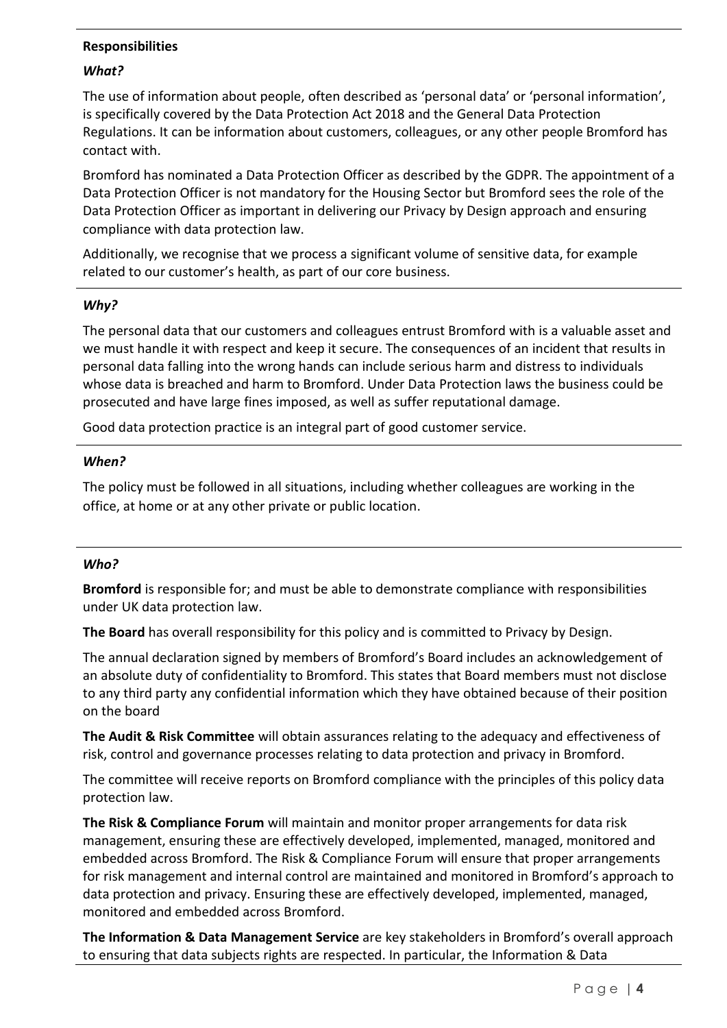#### **Responsibilities**

#### *What?*

The use of information about people, often described as 'personal data' or 'personal information', is specifically covered by the Data Protection Act 2018 and the General Data Protection Regulations. It can be information about customers, colleagues, or any other people Bromford has contact with.

Bromford has nominated a Data Protection Officer as described by the GDPR. The appointment of a Data Protection Officer is not mandatory for the Housing Sector but Bromford sees the role of the Data Protection Officer as important in delivering our Privacy by Design approach and ensuring compliance with data protection law.

Additionally, we recognise that we process a significant volume of sensitive data, for example related to our customer's health, as part of our core business.

#### *Why?*

The personal data that our customers and colleagues entrust Bromford with is a valuable asset and we must handle it with respect and keep it secure. The consequences of an incident that results in personal data falling into the wrong hands can include serious harm and distress to individuals whose data is breached and harm to Bromford. Under Data Protection laws the business could be prosecuted and have large fines imposed, as well as suffer reputational damage.

Good data protection practice is an integral part of good customer service.

#### *When?*

The policy must be followed in all situations, including whether colleagues are working in the office, at home or at any other private or public location.

#### *Who?*

**Bromford** is responsible for; and must be able to demonstrate compliance with responsibilities under UK data protection law.

**The Board** has overall responsibility for this policy and is committed to Privacy by Design.

The annual declaration signed by members of Bromford's Board includes an acknowledgement of an absolute duty of confidentiality to Bromford. This states that Board members must not disclose to any third party any confidential information which they have obtained because of their position on the board

**The Audit & Risk Committee** will obtain assurances relating to the adequacy and effectiveness of risk, control and governance processes relating to data protection and privacy in Bromford.

The committee will receive reports on Bromford compliance with the principles of this policy data protection law.

**The Risk & Compliance Forum** will maintain and monitor proper arrangements for data risk management, ensuring these are effectively developed, implemented, managed, monitored and embedded across Bromford. The Risk & Compliance Forum will ensure that proper arrangements for risk management and internal control are maintained and monitored in Bromford's approach to data protection and privacy. Ensuring these are effectively developed, implemented, managed, monitored and embedded across Bromford.

**The Information & Data Management Service** are key stakeholders in Bromford's overall approach to ensuring that data subjects rights are respected. In particular, the Information & Data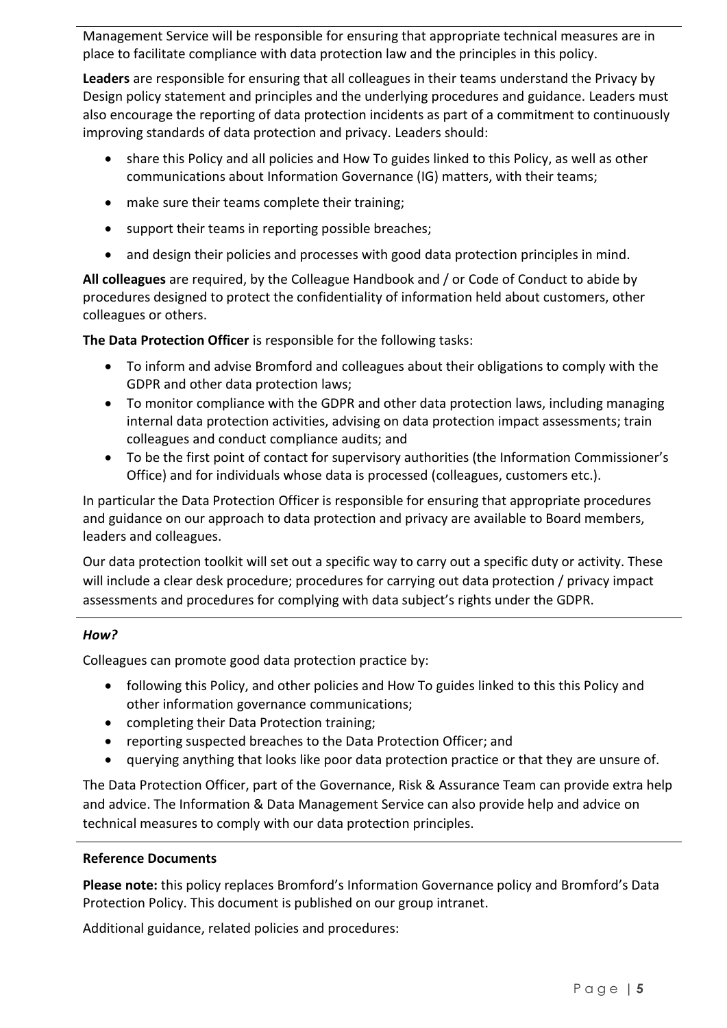Management Service will be responsible for ensuring that appropriate technical measures are in place to facilitate compliance with data protection law and the principles in this policy.

**Leaders** are responsible for ensuring that all colleagues in their teams understand the Privacy by Design policy statement and principles and the underlying procedures and guidance. Leaders must also encourage the reporting of data protection incidents as part of a commitment to continuously improving standards of data protection and privacy. Leaders should:

- share this Policy and all policies and How To guides linked to this Policy, as well as other communications about Information Governance (IG) matters, with their teams;
- make sure their teams complete their training;
- support their teams in reporting possible breaches;
- and design their policies and processes with good data protection principles in mind.

**All colleagues** are required, by the Colleague Handbook and / or Code of Conduct to abide by procedures designed to protect the confidentiality of information held about customers, other colleagues or others.

**The Data Protection Officer** is responsible for the following tasks:

- To inform and advise Bromford and colleagues about their obligations to comply with the GDPR and other data protection laws;
- To monitor compliance with the GDPR and other data protection laws, including managing internal data protection activities, advising on data protection impact assessments; train colleagues and conduct compliance audits; and
- To be the first point of contact for supervisory authorities (the Information Commissioner's Office) and for individuals whose data is processed (colleagues, customers etc.).

In particular the Data Protection Officer is responsible for ensuring that appropriate procedures and guidance on our approach to data protection and privacy are available to Board members, leaders and colleagues.

Our data protection toolkit will set out a specific way to carry out a specific duty or activity. These will include a clear desk procedure; procedures for carrying out data protection / privacy impact assessments and procedures for complying with data subject's rights under the GDPR.

#### *How?*

Colleagues can promote good data protection practice by:

- following this Policy, and other policies and How To guides linked to this this Policy and other information governance communications;
- completing their Data Protection training;
- reporting suspected breaches to the Data Protection Officer; and
- querying anything that looks like poor data protection practice or that they are unsure of.

The Data Protection Officer, part of the Governance, Risk & Assurance Team can provide extra help and advice. The Information & Data Management Service can also provide help and advice on technical measures to comply with our data protection principles.

#### **Reference Documents**

**Please note:** this policy replaces Bromford's Information Governance policy and Bromford's Data Protection Policy. This document is published on our group intranet.

Additional guidance, related policies and procedures: